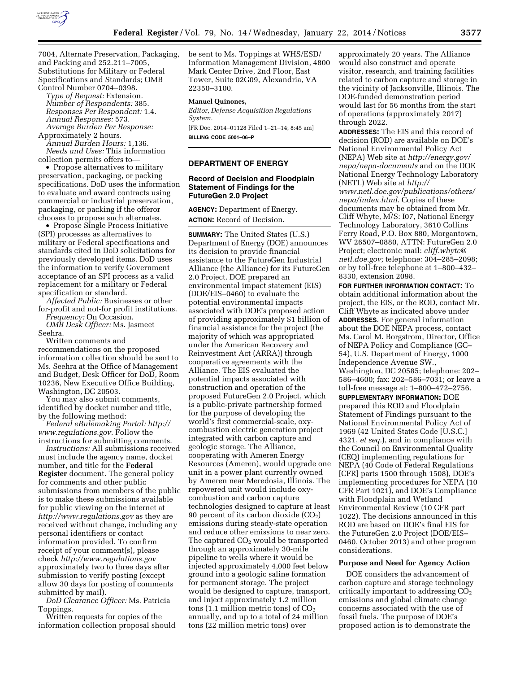

7004, Alternate Preservation, Packaging, and Packing and 252.211–7005, Substitutions for Military or Federal Specifications and Standards; OMB Control Number 0704–0398.

*Type of Request:* Extension. *Number of Respondents:* 385. *Responses Per Respondent:* 1.4. *Annual Responses:* 573. *Average Burden Per Response:* 

Approximately 2 hours. *Annual Burden Hours:* 1,136. *Needs and Uses:* This information collection permits offers to—

• Propose alternatives to military preservation, packaging, or packing specifications. DoD uses the information to evaluate and award contracts using commercial or industrial preservation, packaging, or packing if the offeror chooses to propose such alternates.

• Propose Single Process Initiative (SPI) processes as alternatives to military or Federal specifications and standards cited in DoD solicitations for previously developed items. DoD uses the information to verify Government acceptance of an SPI process as a valid replacement for a military or Federal specification or standard.

*Affected Public:* Businesses or other for-profit and not-for profit institutions.

*Frequency:* On Occasion. *OMB Desk Officer:* Ms. Jasmeet Seehra.

Written comments and recommendations on the proposed information collection should be sent to Ms. Seehra at the Office of Management and Budget, Desk Officer for DoD, Room 10236, New Executive Office Building, Washington, DC 20503.

You may also submit comments, identified by docket number and title, by the following method:

*Federal eRulemaking Portal: [http://](http://www.regulations.gov) [www.regulations.gov.](http://www.regulations.gov)* Follow the instructions for submitting comments.

*Instructions:* All submissions received must include the agency name, docket number, and title for the **Federal Register** document. The general policy for comments and other public submissions from members of the public is to make these submissions available for public viewing on the internet at *<http://www.regulations.gov>* as they are received without change, including any personal identifiers or contact information provided. To confirm receipt of your comment(s), please check *<http://www.regulations.gov>* approximately two to three days after submission to verify posting (except allow 30 days for posting of comments submitted by mail).

*DoD Clearance Officer:* Ms. Patricia Toppings.

Written requests for copies of the information collection proposal should be sent to Ms. Toppings at WHS/ESD/ Information Management Division, 4800 Mark Center Drive, 2nd Floor, East Tower, Suite 02G09, Alexandria, VA 22350–3100.

#### **Manuel Quinones,**

*Editor, Defense Acquisition Regulations System.* 

[FR Doc. 2014–01128 Filed 1–21–14; 8:45 am] **BILLING CODE 5001–06–P** 

# **DEPARTMENT OF ENERGY**

# **Record of Decision and Floodplain Statement of Findings for the FutureGen 2.0 Project**

**AGENCY:** Department of Energy. **ACTION:** Record of Decision.

**SUMMARY:** The United States (U.S.) Department of Energy (DOE) announces its decision to provide financial assistance to the FutureGen Industrial Alliance (the Alliance) for its FutureGen 2.0 Project. DOE prepared an environmental impact statement (EIS) (DOE/EIS–0460) to evaluate the potential environmental impacts associated with DOE's proposed action of providing approximately \$1 billion of financial assistance for the project (the majority of which was appropriated under the American Recovery and Reinvestment Act (ARRA)) through cooperative agreements with the Alliance. The EIS evaluated the potential impacts associated with construction and operation of the proposed FutureGen 2.0 Project, which is a public-private partnership formed for the purpose of developing the world's first commercial-scale, oxycombustion electric generation project integrated with carbon capture and geologic storage. The Alliance, cooperating with Ameren Energy Resources (Ameren), would upgrade one unit in a power plant currently owned by Ameren near Meredosia, Illinois. The repowered unit would include oxycombustion and carbon capture technologies designed to capture at least 90 percent of its carbon dioxide  $(CO<sub>2</sub>)$ emissions during steady-state operation and reduce other emissions to near zero. The captured  $CO<sub>2</sub>$  would be transported through an approximately 30-mile pipeline to wells where it would be injected approximately 4,000 feet below ground into a geologic saline formation for permanent storage. The project would be designed to capture, transport, and inject approximately 1.2 million tons (1.1 million metric tons) of  $CO<sub>2</sub>$ annually, and up to a total of 24 million tons (22 million metric tons) over

approximately 20 years. The Alliance would also construct and operate visitor, research, and training facilities related to carbon capture and storage in the vicinity of Jacksonville, Illinois. The DOE-funded demonstration period would last for 56 months from the start of operations (approximately 2017) through 2022.

**ADDRESSES:** The EIS and this record of decision (ROD) are available on DOE's National Environmental Policy Act (NEPA) Web site at *[http://energy.gov/](http://energy.gov/nepa/nepa-documents) [nepa/nepa-documents](http://energy.gov/nepa/nepa-documents)* and on the DOE National Energy Technology Laboratory (NETL) Web site at *[http://](http://www.netl.doe.gov/publications/others/nepa/index.html) [www.netl.doe.gov/publications/others/](http://www.netl.doe.gov/publications/others/nepa/index.html) [nepa/index.html](http://www.netl.doe.gov/publications/others/nepa/index.html)*. Copies of these documents may be obtained from Mr. Cliff Whyte, M/S: I07, National Energy Technology Laboratory, 3610 Collins Ferry Road, P.O. Box 880, Morgantown, WV 26507–0880, ATTN: FutureGen 2.0 Project; electronic mail: *[cliff.whyte@](mailto:cliff.whyte@netl.doe.gov) [netl.doe.gov;](mailto:cliff.whyte@netl.doe.gov)* telephone: 304–285–2098; or by toll-free telephone at 1–800–432– 8330, extension 2098.

**FOR FURTHER INFORMATION CONTACT:** To obtain additional information about the project, the EIS, or the ROD, contact Mr. Cliff Whyte as indicated above under **ADDRESSES**. For general information about the DOE NEPA process, contact Ms. Carol M. Borgstrom, Director, Office of NEPA Policy and Compliance (GC– 54), U.S. Department of Energy, 1000 Independence Avenue SW., Washington, DC 20585; telephone: 202– 586–4600; fax: 202–586–7031; or leave a toll-free message at: 1–800–472–2756. **SUPPLEMENTARY INFORMATION:** DOE

prepared this ROD and Floodplain Statement of Findings pursuant to the National Environmental Policy Act of 1969 (42 United States Code [U.S.C.] 4321, *et seq.*), and in compliance with the Council on Environmental Quality (CEQ) implementing regulations for NEPA (40 Code of Federal Regulations [CFR] parts 1500 through 1508), DOE's implementing procedures for NEPA (10 CFR Part 1021), and DOE's Compliance with Floodplain and Wetland Environmental Review (10 CFR part 1022). The decisions announced in this ROD are based on DOE's final EIS for the FutureGen 2.0 Project (DOE/EIS– 0460, October 2013) and other program considerations.

# **Purpose and Need for Agency Action**

DOE considers the advancement of carbon capture and storage technology critically important to addressing  $CO<sub>2</sub>$ emissions and global climate change concerns associated with the use of fossil fuels. The purpose of DOE's proposed action is to demonstrate the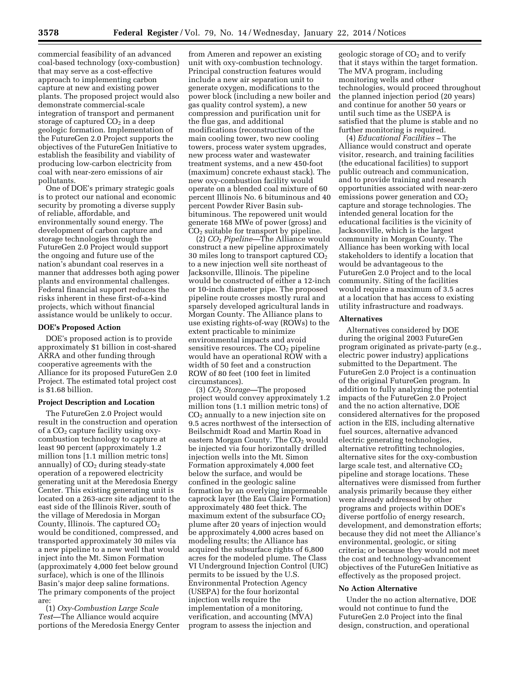commercial feasibility of an advanced coal-based technology (oxy-combustion) that may serve as a cost-effective approach to implementing carbon capture at new and existing power plants. The proposed project would also demonstrate commercial-scale integration of transport and permanent storage of captured  $CO<sub>2</sub>$  in a deep geologic formation. Implementation of the FutureGen 2.0 Project supports the objectives of the FutureGen Initiative to establish the feasibility and viability of producing low-carbon electricity from coal with near-zero emissions of air pollutants.

One of DOE's primary strategic goals is to protect our national and economic security by promoting a diverse supply of reliable, affordable, and environmentally sound energy. The development of carbon capture and storage technologies through the FutureGen 2.0 Project would support the ongoing and future use of the nation's abundant coal reserves in a manner that addresses both aging power plants and environmental challenges. Federal financial support reduces the risks inherent in these first-of-a-kind projects, which without financial assistance would be unlikely to occur.

## **DOE's Proposed Action**

DOE's proposed action is to provide approximately \$1 billion in cost-shared ARRA and other funding through cooperative agreements with the Alliance for its proposed FutureGen 2.0 Project. The estimated total project cost is \$1.68 billion.

### **Project Description and Location**

The FutureGen 2.0 Project would result in the construction and operation of a  $CO<sub>2</sub>$  capture facility using oxycombustion technology to capture at least 90 percent (approximately 1.2 million tons [1.1 million metric tons] annually) of  $CO<sub>2</sub>$  during steady-state operation of a repowered electricity generating unit at the Meredosia Energy Center. This existing generating unit is located on a 263-acre site adjacent to the east side of the Illinois River, south of the village of Meredosia in Morgan County, Illinois. The captured  $CO<sub>2</sub>$ would be conditioned, compressed, and transported approximately 30 miles via a new pipeline to a new well that would inject into the Mt. Simon Formation (approximately 4,000 feet below ground surface), which is one of the Illinois Basin's major deep saline formations. The primary components of the project are:

(1) *Oxy-Combustion Large Scale Test—*The Alliance would acquire portions of the Meredosia Energy Center

from Ameren and repower an existing unit with oxy-combustion technology. Principal construction features would include a new air separation unit to generate oxygen, modifications to the power block (including a new boiler and gas quality control system), a new compression and purification unit for the flue gas, and additional modifications (reconstruction of the main cooling tower, two new cooling towers, process water system upgrades, new process water and wastewater treatment systems, and a new 450-foot (maximum) concrete exhaust stack). The new oxy-combustion facility would operate on a blended coal mixture of 60 percent Illinois No. 6 bituminous and 40 percent Powder River Basin subbituminous. The repowered unit would generate 168 MWe of power (gross) and  $CO<sub>2</sub>$  suitable for transport by pipeline.

(2) *CO*2 *Pipeline—*The Alliance would construct a new pipeline approximately 30 miles long to transport captured  $CO<sub>2</sub>$ to a new injection well site northeast of Jacksonville, Illinois. The pipeline would be constructed of either a 12-inch or 10-inch diameter pipe. The proposed pipeline route crosses mostly rural and sparsely developed agricultural lands in Morgan County. The Alliance plans to use existing rights-of-way (ROWs) to the extent practicable to minimize environmental impacts and avoid sensitive resources. The  $CO<sub>2</sub>$  pipeline would have an operational ROW with a width of 50 feet and a construction ROW of 80 feet (100 feet in limited circumstances).

(3) *CO*2 *Storage—*The proposed project would convey approximately 1.2 million tons (1.1 million metric tons) of  $CO<sub>2</sub>$  annually to a new injection site on 9.5 acres northwest of the intersection of Beilschmidt Road and Martin Road in eastern Morgan County. The  $CO<sub>2</sub>$  would be injected via four horizontally drilled injection wells into the Mt. Simon Formation approximately 4,000 feet below the surface, and would be confined in the geologic saline formation by an overlying impermeable caprock layer (the Eau Claire Formation) approximately 480 feet thick. The maximum extent of the subsurface  $CO<sub>2</sub>$ plume after 20 years of injection would be approximately 4,000 acres based on modeling results; the Alliance has acquired the subsurface rights of 6,800 acres for the modeled plume. The Class VI Underground Injection Control (UIC) permits to be issued by the U.S. Environmental Protection Agency (USEPA) for the four horizontal injection wells require the implementation of a monitoring, verification, and accounting (MVA) program to assess the injection and

geologic storage of  $CO<sub>2</sub>$  and to verify that it stays within the target formation. The MVA program, including monitoring wells and other technologies, would proceed throughout the planned injection period (20 years) and continue for another 50 years or until such time as the USEPA is satisfied that the plume is stable and no further monitoring is required.

(4) *Educational Facilities –* The Alliance would construct and operate visitor, research, and training facilities (the educational facilities) to support public outreach and communication, and to provide training and research opportunities associated with near-zero emissions power generation and  $CO<sub>2</sub>$ capture and storage technologies. The intended general location for the educational facilities is the vicinity of Jacksonville, which is the largest community in Morgan County. The Alliance has been working with local stakeholders to identify a location that would be advantageous to the FutureGen 2.0 Project and to the local community. Siting of the facilities would require a maximum of 3.5 acres at a location that has access to existing utility infrastructure and roadways.

# **Alternatives**

Alternatives considered by DOE during the original 2003 FutureGen program originated as private-party (e.g., electric power industry) applications submitted to the Department. The FutureGen 2.0 Project is a continuation of the original FutureGen program. In addition to fully analyzing the potential impacts of the FutureGen 2.0 Project and the no action alternative, DOE considered alternatives for the proposed action in the EIS, including alternative fuel sources, alternative advanced electric generating technologies, alternative retrofitting technologies, alternative sites for the oxy-combustion large scale test, and alternative  $CO<sub>2</sub>$ pipeline and storage locations. These alternatives were dismissed from further analysis primarily because they either were already addressed by other programs and projects within DOE's diverse portfolio of energy research, development, and demonstration efforts; because they did not meet the Alliance's environmental, geologic, or siting criteria; or because they would not meet the cost and technology-advancement objectives of the FutureGen Initiative as effectively as the proposed project.

#### **No Action Alternative**

Under the no action alternative, DOE would not continue to fund the FutureGen 2.0 Project into the final design, construction, and operational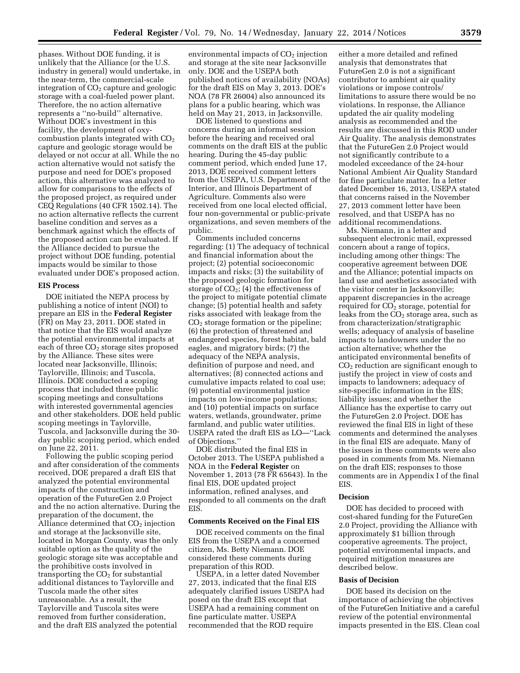phases. Without DOE funding, it is unlikely that the Alliance (or the U.S. industry in general) would undertake, in the near-term, the commercial-scale integration of  $CO<sub>2</sub>$  capture and geologic storage with a coal-fueled power plant. Therefore, the no action alternative represents a ''no-build'' alternative. Without DOE's investment in this facility, the development of oxycombustion plants integrated with  $CO<sub>2</sub>$ capture and geologic storage would be delayed or not occur at all. While the no action alternative would not satisfy the purpose and need for DOE's proposed action, this alternative was analyzed to allow for comparisons to the effects of the proposed project, as required under CEQ Regulations (40 CFR 1502.14). The no action alternative reflects the current baseline condition and serves as a benchmark against which the effects of the proposed action can be evaluated. If the Alliance decided to pursue the project without DOE funding, potential impacts would be similar to those evaluated under DOE's proposed action.

# **EIS Process**

DOE initiated the NEPA process by publishing a notice of intent (NOI) to prepare an EIS in the **Federal Register**  (FR) on May 23, 2011. DOE stated in that notice that the EIS would analyze the potential environmental impacts at each of three  $CO<sub>2</sub>$  storage sites proposed by the Alliance. These sites were located near Jacksonville, Illinois; Taylorville, Illinois; and Tuscola, Illinois. DOE conducted a scoping process that included three public scoping meetings and consultations with interested governmental agencies and other stakeholders. DOE held public scoping meetings in Taylorville, Tuscola, and Jacksonville during the 30 day public scoping period, which ended on June 22, 2011.

Following the public scoping period and after consideration of the comments received, DOE prepared a draft EIS that analyzed the potential environmental impacts of the construction and operation of the FutureGen 2.0 Project and the no action alternative. During the preparation of the document, the Alliance determined that  $CO<sub>2</sub>$  injection and storage at the Jacksonville site, located in Morgan County, was the only suitable option as the quality of the geologic storage site was acceptable and the prohibitive costs involved in transporting the  $CO<sub>2</sub>$  for substantial additional distances to Taylorville and Tuscola made the other sites unreasonable. As a result, the Taylorville and Tuscola sites were removed from further consideration, and the draft EIS analyzed the potential

environmental impacts of  $CO<sub>2</sub>$  injection and storage at the site near Jacksonville only. DOE and the USEPA both published notices of availability (NOAs) for the draft EIS on May 3, 2013. DOE's NOA (78 FR 26004) also announced its plans for a public hearing, which was held on May 21, 2013, in Jacksonville.

DOE listened to questions and concerns during an informal session before the hearing and received oral comments on the draft EIS at the public hearing. During the 45-day public comment period, which ended June 17, 2013, DOE received comment letters from the USEPA, U.S. Department of the Interior, and Illinois Department of Agriculture. Comments also were received from one local elected official, four non-governmental or public-private organizations, and seven members of the public.

Comments included concerns regarding: (1) The adequacy of technical and financial information about the project; (2) potential socioeconomic impacts and risks; (3) the suitability of the proposed geologic formation for storage of  $CO<sub>2</sub>$ ; (4) the effectiveness of the project to mitigate potential climate change; (5) potential health and safety risks associated with leakage from the  $CO<sub>2</sub>$  storage formation or the pipeline; (6) the protection of threatened and endangered species, forest habitat, bald eagles, and migratory birds; (7) the adequacy of the NEPA analysis, definition of purpose and need, and alternatives; (8) connected actions and cumulative impacts related to coal use; (9) potential environmental justice impacts on low-income populations; and (10) potential impacts on surface waters, wetlands, groundwater, prime farmland, and public water utilities. USEPA rated the draft EIS as LO—''Lack of Objections.''

DOE distributed the final EIS in October 2013. The USEPA published a NOA in the **Federal Register** on November 1, 2013 (78 FR 65643). In the final EIS, DOE updated project information, refined analyses, and responded to all comments on the draft **EIS.** 

## **Comments Received on the Final EIS**

DOE received comments on the final EIS from the USEPA and a concerned citizen, Ms. Betty Niemann. DOE considered these comments during preparation of this ROD.

USEPA, in a letter dated November 27, 2013, indicated that the final EIS adequately clarified issues USEPA had posed on the draft EIS except that USEPA had a remaining comment on fine particulate matter. USEPA recommended that the ROD require

either a more detailed and refined analysis that demonstrates that FutureGen 2.0 is not a significant contributor to ambient air quality violations or impose controls/ limitations to assure there would be no violations. In response, the Alliance updated the air quality modeling analysis as recommended and the results are discussed in this ROD under Air Quality. The analysis demonstrates that the FutureGen 2.0 Project would not significantly contribute to a modeled exceedance of the 24-hour National Ambient Air Quality Standard for fine particulate matter. In a letter dated December 16, 2013, USEPA stated that concerns raised in the November 27, 2013 comment letter have been resolved, and that USEPA has no additional recommendations.

Ms. Niemann, in a letter and subsequent electronic mail, expressed concern about a range of topics, including among other things: The cooperative agreement between DOE and the Alliance; potential impacts on land use and aesthetics associated with the visitor center in Jacksonville; apparent discrepancies in the acreage required for CO<sub>2</sub> storage, potential for leaks from the  $CO<sub>2</sub>$  storage area, such as from characterization/stratigraphic wells; adequacy of analysis of baseline impacts to landowners under the no action alternative; whether the anticipated environmental benefits of CO2 reduction are significant enough to justify the project in view of costs and impacts to landowners; adequacy of site-specific information in the EIS; liability issues; and whether the Alliance has the expertise to carry out the FutureGen 2.0 Project. DOE has reviewed the final EIS in light of these comments and determined the analyses in the final EIS are adequate. Many of the issues in these comments were also posed in comments from Ms. Niemann on the draft EIS; responses to those comments are in Appendix I of the final EIS.

#### **Decision**

DOE has decided to proceed with cost-shared funding for the FutureGen 2.0 Project, providing the Alliance with approximately \$1 billion through cooperative agreements. The project, potential environmental impacts, and required mitigation measures are described below.

#### **Basis of Decision**

DOE based its decision on the importance of achieving the objectives of the FutureGen Initiative and a careful review of the potential environmental impacts presented in the EIS. Clean coal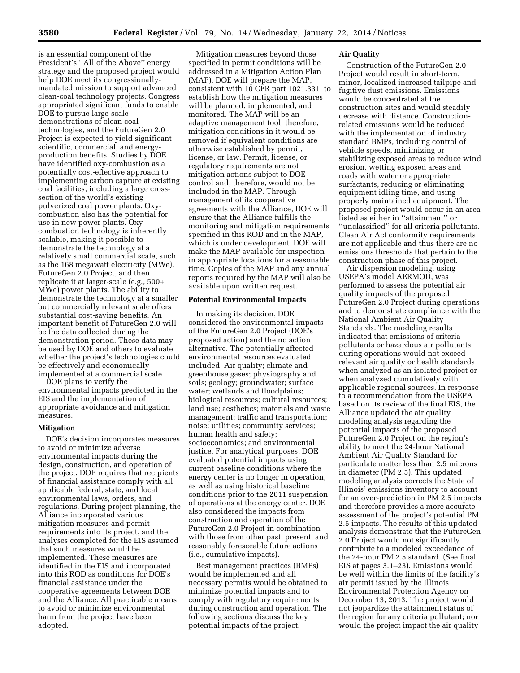is an essential component of the President's ''All of the Above'' energy strategy and the proposed project would help DOE meet its congressionallymandated mission to support advanced clean-coal technology projects. Congress appropriated significant funds to enable DOE to pursue large-scale demonstrations of clean coal technologies, and the FutureGen 2.0 Project is expected to yield significant scientific, commercial, and energyproduction benefits. Studies by DOE have identified oxy-combustion as a potentially cost-effective approach to implementing carbon capture at existing coal facilities, including a large crosssection of the world's existing pulverized coal power plants. Oxycombustion also has the potential for use in new power plants. Oxycombustion technology is inherently scalable, making it possible to demonstrate the technology at a relatively small commercial scale, such as the 168 megawatt electricity (MWe), FutureGen 2.0 Project, and then replicate it at larger-scale (e.g., 500+ MWe) power plants. The ability to demonstrate the technology at a smaller but commercially relevant scale offers substantial cost-saving benefits. An important benefit of FutureGen 2.0 will be the data collected during the demonstration period. These data may be used by DOE and others to evaluate whether the project's technologies could be effectively and economically implemented at a commercial scale.

DOE plans to verify the environmental impacts predicted in the EIS and the implementation of appropriate avoidance and mitigation measures.

# **Mitigation**

DOE's decision incorporates measures to avoid or minimize adverse environmental impacts during the design, construction, and operation of the project. DOE requires that recipients of financial assistance comply with all applicable federal, state, and local environmental laws, orders, and regulations. During project planning, the Alliance incorporated various mitigation measures and permit requirements into its project, and the analyses completed for the EIS assumed that such measures would be implemented. These measures are identified in the EIS and incorporated into this ROD as conditions for DOE's financial assistance under the cooperative agreements between DOE and the Alliance. All practicable means to avoid or minimize environmental harm from the project have been adopted.

Mitigation measures beyond those specified in permit conditions will be addressed in a Mitigation Action Plan (MAP). DOE will prepare the MAP, consistent with 10 CFR part 1021.331, to establish how the mitigation measures will be planned, implemented, and monitored. The MAP will be an adaptive management tool; therefore, mitigation conditions in it would be removed if equivalent conditions are otherwise established by permit, license, or law. Permit, license, or regulatory requirements are not mitigation actions subject to DOE control and, therefore, would not be included in the MAP. Through management of its cooperative agreements with the Alliance, DOE will ensure that the Alliance fulfills the monitoring and mitigation requirements specified in this ROD and in the MAP, which is under development. DOE will make the MAP available for inspection in appropriate locations for a reasonable time. Copies of the MAP and any annual reports required by the MAP will also be available upon written request.

#### **Potential Environmental Impacts**

In making its decision, DOE considered the environmental impacts of the FutureGen 2.0 Project (DOE's proposed action) and the no action alternative. The potentially affected environmental resources evaluated included: Air quality; climate and greenhouse gases; physiography and soils; geology; groundwater; surface water; wetlands and floodplains; biological resources; cultural resources; land use; aesthetics; materials and waste management; traffic and transportation; noise; utilities; community services; human health and safety; socioeconomics; and environmental justice. For analytical purposes, DOE evaluated potential impacts using current baseline conditions where the energy center is no longer in operation, as well as using historical baseline conditions prior to the 2011 suspension of operations at the energy center. DOE also considered the impacts from construction and operation of the FutureGen 2.0 Project in combination with those from other past, present, and reasonably foreseeable future actions (i.e., cumulative impacts).

Best management practices (BMPs) would be implemented and all necessary permits would be obtained to minimize potential impacts and to comply with regulatory requirements during construction and operation. The following sections discuss the key potential impacts of the project.

# **Air Quality**

Construction of the FutureGen 2.0 Project would result in short-term, minor, localized increased tailpipe and fugitive dust emissions. Emissions would be concentrated at the construction sites and would steadily decrease with distance. Constructionrelated emissions would be reduced with the implementation of industry standard BMPs, including control of vehicle speeds, minimizing or stabilizing exposed areas to reduce wind erosion, wetting exposed areas and roads with water or appropriate surfactants, reducing or eliminating equipment idling time, and using properly maintained equipment. The proposed project would occur in an area listed as either in ''attainment'' or ''unclassified'' for all criteria pollutants. Clean Air Act conformity requirements are not applicable and thus there are no emissions thresholds that pertain to the construction phase of this project.

Air dispersion modeling, using USEPA's model AERMOD, was performed to assess the potential air quality impacts of the proposed FutureGen 2.0 Project during operations and to demonstrate compliance with the National Ambient Air Quality Standards. The modeling results indicated that emissions of criteria pollutants or hazardous air pollutants during operations would not exceed relevant air quality or health standards when analyzed as an isolated project or when analyzed cumulatively with applicable regional sources. In response to a recommendation from the USEPA based on its review of the final EIS, the Alliance updated the air quality modeling analysis regarding the potential impacts of the proposed FutureGen 2.0 Project on the region's ability to meet the 24-hour National Ambient Air Quality Standard for particulate matter less than 2.5 microns in diameter (PM 2.5). This updated modeling analysis corrects the State of Illinois' emissions inventory to account for an over-prediction in PM 2.5 impacts and therefore provides a more accurate assessment of the project's potential PM 2.5 impacts. The results of this updated analysis demonstrate that the FutureGen 2.0 Project would not significantly contribute to a modeled exceedance of the 24-hour PM 2.5 standard. (See final EIS at pages 3.1–23). Emissions would be well within the limits of the facility's air permit issued by the Illinois Environmental Protection Agency on December 13, 2013. The project would not jeopardize the attainment status of the region for any criteria pollutant; nor would the project impact the air quality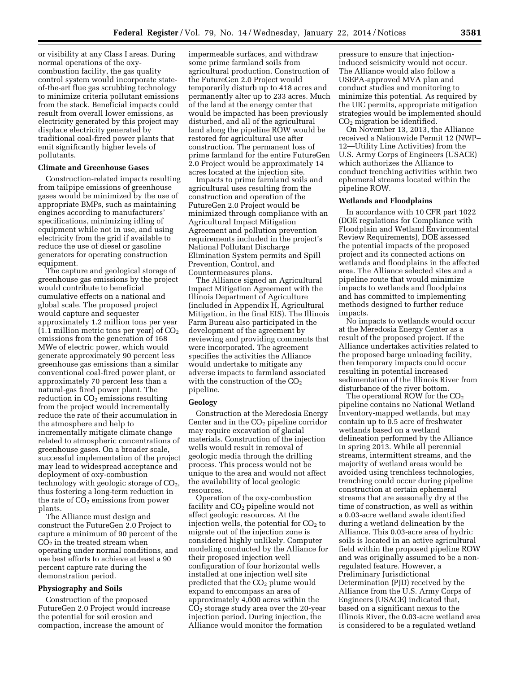or visibility at any Class I areas. During normal operations of the oxycombustion facility, the gas quality control system would incorporate stateof-the-art flue gas scrubbing technology to minimize criteria pollutant emissions from the stack. Beneficial impacts could result from overall lower emissions, as electricity generated by this project may displace electricity generated by traditional coal-fired power plants that emit significantly higher levels of pollutants.

# **Climate and Greenhouse Gases**

Construction-related impacts resulting from tailpipe emissions of greenhouse gases would be minimized by the use of appropriate BMPs, such as maintaining engines according to manufacturers' specifications, minimizing idling of equipment while not in use, and using electricity from the grid if available to reduce the use of diesel or gasoline generators for operating construction equipment.

The capture and geological storage of greenhouse gas emissions by the project would contribute to beneficial cumulative effects on a national and global scale. The proposed project would capture and sequester approximately 1.2 million tons per year (1.1 million metric tons per year) of  $CO<sub>2</sub>$ emissions from the generation of 168 MWe of electric power, which would generate approximately 90 percent less greenhouse gas emissions than a similar conventional coal-fired power plant, or approximately 70 percent less than a natural-gas fired power plant. The reduction in  $CO<sub>2</sub>$  emissions resulting from the project would incrementally reduce the rate of their accumulation in the atmosphere and help to incrementally mitigate climate change related to atmospheric concentrations of greenhouse gases. On a broader scale, successful implementation of the project may lead to widespread acceptance and deployment of oxy-combustion technology with geologic storage of  $CO<sub>2</sub>$ , thus fostering a long-term reduction in the rate of  $CO<sub>2</sub>$  emissions from power plants.

The Alliance must design and construct the FutureGen 2.0 Project to capture a minimum of 90 percent of the  $CO<sub>2</sub>$  in the treated stream when operating under normal conditions, and use best efforts to achieve at least a 90 percent capture rate during the demonstration period.

#### **Physiography and Soils**

Construction of the proposed FutureGen 2.0 Project would increase the potential for soil erosion and compaction, increase the amount of

impermeable surfaces, and withdraw some prime farmland soils from agricultural production. Construction of the FutureGen 2.0 Project would temporarily disturb up to 418 acres and permanently alter up to 233 acres. Much of the land at the energy center that would be impacted has been previously disturbed, and all of the agricultural land along the pipeline ROW would be restored for agricultural use after construction. The permanent loss of prime farmland for the entire FutureGen 2.0 Project would be approximately 14 acres located at the injection site.

Impacts to prime farmland soils and agricultural uses resulting from the construction and operation of the FutureGen 2.0 Project would be minimized through compliance with an Agricultural Impact Mitigation Agreement and pollution prevention requirements included in the project's National Pollutant Discharge Elimination System permits and Spill Prevention, Control, and Countermeasures plans.

The Alliance signed an Agricultural Impact Mitigation Agreement with the Illinois Department of Agriculture (included in Appendix H, Agricultural Mitigation, in the final EIS). The Illinois Farm Bureau also participated in the development of the agreement by reviewing and providing comments that were incorporated. The agreement specifies the activities the Alliance would undertake to mitigate any adverse impacts to farmland associated with the construction of the  $CO<sub>2</sub>$ pipeline.

### **Geology**

Construction at the Meredosia Energy Center and in the  $CO<sub>2</sub>$  pipeline corridor may require excavation of glacial materials. Construction of the injection wells would result in removal of geologic media through the drilling process. This process would not be unique to the area and would not affect the availability of local geologic resources.

Operation of the oxy-combustion facility and  $CO<sub>2</sub>$  pipeline would not affect geologic resources. At the injection wells, the potential for  $CO<sub>2</sub>$  to migrate out of the injection zone is considered highly unlikely. Computer modeling conducted by the Alliance for their proposed injection well configuration of four horizontal wells installed at one injection well site predicted that the  $CO<sub>2</sub>$  plume would expand to encompass an area of approximately 4,000 acres within the CO2 storage study area over the 20-year injection period. During injection, the Alliance would monitor the formation

pressure to ensure that injectioninduced seismicity would not occur. The Alliance would also follow a USEPA-approved MVA plan and conduct studies and monitoring to minimize this potential. As required by the UIC permits, appropriate mitigation strategies would be implemented should  $CO<sub>2</sub>$  migration be identified.

On November 13, 2013, the Alliance received a Nationwide Permit 12 (NWP– 12—Utility Line Activities) from the U.S. Army Corps of Engineers (USACE) which authorizes the Alliance to conduct trenching activities within two ephemeral streams located within the pipeline ROW.

### **Wetlands and Floodplains**

In accordance with 10 CFR part 1022 (DOE regulations for Compliance with Floodplain and Wetland Environmental Review Requirements), DOE assessed the potential impacts of the proposed project and its connected actions on wetlands and floodplains in the affected area. The Alliance selected sites and a pipeline route that would minimize impacts to wetlands and floodplains and has committed to implementing methods designed to further reduce impacts.

No impacts to wetlands would occur at the Meredosia Energy Center as a result of the proposed project. If the Alliance undertakes activities related to the proposed barge unloading facility, then temporary impacts could occur resulting in potential increased sedimentation of the Illinois River from disturbance of the river bottom.

The operational ROW for the  $CO<sub>2</sub>$ pipeline contains no National Wetland Inventory-mapped wetlands, but may contain up to 0.5 acre of freshwater wetlands based on a wetland delineation performed by the Alliance in spring 2013. While all perennial streams, intermittent streams, and the majority of wetland areas would be avoided using trenchless technologies, trenching could occur during pipeline construction at certain ephemeral streams that are seasonally dry at the time of construction, as well as within a 0.03-acre wetland swale identified during a wetland delineation by the Alliance. This 0.03-acre area of hydric soils is located in an active agricultural field within the proposed pipeline ROW and was originally assumed to be a nonregulated feature. However, a Preliminary Jurisdictional Determination (PJD) received by the Alliance from the U.S. Army Corps of Engineers (USACE) indicated that, based on a significant nexus to the Illinois River, the 0.03-acre wetland area is considered to be a regulated wetland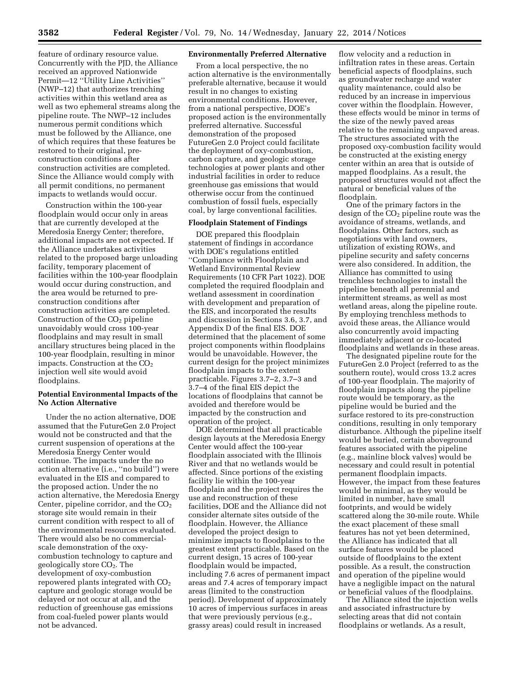feature of ordinary resource value. Concurrently with the PJD, the Alliance received an approved Nationwide Permit—12 ''Utility Line Activities'' (NWP–12) that authorizes trenching activities within this wetland area as well as two ephemeral streams along the pipeline route. The NWP–12 includes numerous permit conditions which must be followed by the Alliance, one of which requires that these features be restored to their original, preconstruction conditions after construction activities are completed. Since the Alliance would comply with all permit conditions, no permanent impacts to wetlands would occur.

Construction within the 100-year floodplain would occur only in areas that are currently developed at the Meredosia Energy Center; therefore, additional impacts are not expected. If the Alliance undertakes activities related to the proposed barge unloading facility, temporary placement of facilities within the 100-year floodplain would occur during construction, and the area would be returned to preconstruction conditions after construction activities are completed. Construction of the  $CO<sub>2</sub>$  pipeline unavoidably would cross 100-year floodplains and may result in small ancillary structures being placed in the 100-year floodplain, resulting in minor impacts. Construction at the  $CO<sub>2</sub>$ injection well site would avoid floodplains.

## **Potential Environmental Impacts of the No Action Alternative**

Under the no action alternative, DOE assumed that the FutureGen 2.0 Project would not be constructed and that the current suspension of operations at the Meredosia Energy Center would continue. The impacts under the no action alternative (i.e., ''no build'') were evaluated in the EIS and compared to the proposed action. Under the no action alternative, the Meredosia Energy Center, pipeline corridor, and the  $CO<sub>2</sub>$ storage site would remain in their current condition with respect to all of the environmental resources evaluated. There would also be no commercialscale demonstration of the oxycombustion technology to capture and geologically store  $CO<sub>2</sub>$ . The development of oxy-combustion repowered plants integrated with  $CO<sub>2</sub>$ capture and geologic storage would be delayed or not occur at all, and the reduction of greenhouse gas emissions from coal-fueled power plants would not be advanced.

# **Environmentally Preferred Alternative**

From a local perspective, the no action alternative is the environmentally preferable alternative, because it would result in no changes to existing environmental conditions. However, from a national perspective, DOE's proposed action is the environmentally preferred alternative. Successful demonstration of the proposed FutureGen 2.0 Project could facilitate the deployment of oxy-combustion, carbon capture, and geologic storage technologies at power plants and other industrial facilities in order to reduce greenhouse gas emissions that would otherwise occur from the continued combustion of fossil fuels, especially coal, by large conventional facilities.

# **Floodplain Statement of Findings**

DOE prepared this floodplain statement of findings in accordance with DOE's regulations entitled ''Compliance with Floodplain and Wetland Environmental Review Requirements (10 CFR Part 1022). DOE completed the required floodplain and wetland assessment in coordination with development and preparation of the EIS, and incorporated the results and discussion in Sections 3.6, 3.7, and Appendix D of the final EIS. DOE determined that the placement of some project components within floodplains would be unavoidable. However, the current design for the project minimizes floodplain impacts to the extent practicable. Figures 3.7–2, 3.7–3 and 3.7–4 of the final EIS depict the locations of floodplains that cannot be avoided and therefore would be impacted by the construction and operation of the project.

DOE determined that all practicable design layouts at the Meredosia Energy Center would affect the 100-year floodplain associated with the Illinois River and that no wetlands would be affected. Since portions of the existing facility lie within the 100-year floodplain and the project requires the use and reconstruction of these facilities, DOE and the Alliance did not consider alternate sites outside of the floodplain. However, the Alliance developed the project design to minimize impacts to floodplains to the greatest extent practicable. Based on the current design, 15 acres of 100-year floodplain would be impacted, including 7.6 acres of permanent impact areas and 7.4 acres of temporary impact areas (limited to the construction period). Development of approximately 10 acres of impervious surfaces in areas that were previously pervious (e.g., grassy areas) could result in increased

flow velocity and a reduction in infiltration rates in these areas. Certain beneficial aspects of floodplains, such as groundwater recharge and water quality maintenance, could also be reduced by an increase in impervious cover within the floodplain. However, these effects would be minor in terms of the size of the newly paved areas relative to the remaining unpaved areas. The structures associated with the proposed oxy-combustion facility would be constructed at the existing energy center within an area that is outside of mapped floodplains. As a result, the proposed structures would not affect the natural or beneficial values of the floodplain.

One of the primary factors in the design of the CO<sub>2</sub> pipeline route was the avoidance of streams, wetlands, and floodplains. Other factors, such as negotiations with land owners, utilization of existing ROWs, and pipeline security and safety concerns were also considered. In addition, the Alliance has committed to using trenchless technologies to install the pipeline beneath all perennial and intermittent streams, as well as most wetland areas, along the pipeline route. By employing trenchless methods to avoid these areas, the Alliance would also concurrently avoid impacting immediately adjacent or co-located floodplains and wetlands in these areas.

The designated pipeline route for the FutureGen 2.0 Project (referred to as the southern route), would cross 13.2 acres of 100-year floodplain. The majority of floodplain impacts along the pipeline route would be temporary, as the pipeline would be buried and the surface restored to its pre-construction conditions, resulting in only temporary disturbance. Although the pipeline itself would be buried, certain aboveground features associated with the pipeline (e.g., mainline block valves) would be necessary and could result in potential permanent floodplain impacts. However, the impact from these features would be minimal, as they would be limited in number, have small footprints, and would be widely scattered along the 30-mile route. While the exact placement of these small features has not yet been determined, the Alliance has indicated that all surface features would be placed outside of floodplains to the extent possible. As a result, the construction and operation of the pipeline would have a negligible impact on the natural or beneficial values of the floodplains.

The Alliance sited the injection wells and associated infrastructure by selecting areas that did not contain floodplains or wetlands. As a result,